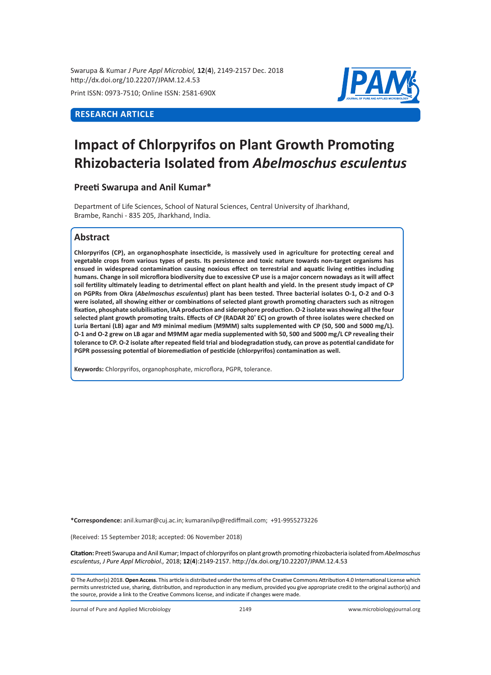Swarupa & Kumar *J Pure Appl Microbiol,* **12**(**4**), 2149-2157 Dec. 2018 http://dx.doi.org/10.22207/JPAM.12.4.53

Print ISSN: 0973-7510; Online ISSN: 2581-690X

# **RESEARCH ARTICLE**

# **Impact of Chlorpyrifos on Plant Growth Promoting Rhizobacteria Isolated from** *Abelmoschus esculentus*

# **Preeti Swarupa and Anil Kumar\***

Department of Life Sciences, School of Natural Sciences, Central University of Jharkhand, Brambe, Ranchi - 835 205, Jharkhand, India.

# **Abstract**

**Chlorpyrifos (CP), an organophosphate insecticide, is massively used in agriculture for protecting cereal and vegetable crops from various types of pests. Its persistence and toxic nature towards non-target organisms has ensued in widespread contamination causing noxious effect on terrestrial and aquatic living entities including humans. Change in soil microflora biodiversity due to excessive CP use is a major concern nowadays as it will affect soil fertility ultimately leading to detrimental effect on plant health and yield. In the present study impact of CP on PGPRs from Okra (***Abelmoschus esculentus***) plant has been tested. Three bacterial isolates O-1, O-2 and O-3 were isolated, all showing either or combinations of selected plant growth promoting characters such as nitrogen fixation, phosphate solubilisation, IAA production and siderophore production. O-2 isolate was showing all the four selected plant growth promoting traits. Effects of CP (RADAR 20® EC) on growth of three isolates were checked on Luria Bertani (LB) agar and M9 minimal medium (M9MM) salts supplemented with CP (50, 500 and 5000 mg/L). O-1 and O-2 grew on LB agar and M9MM agar media supplemented with 50, 500 and 5000 mg/L CP revealing their tolerance to CP. O-2 isolate after repeated field trial and biodegradation study, can prove as potential candidate for PGPR possessing potential of bioremediation of pesticide (chlorpyrifos) contamination as well.**

**Keywords:** Chlorpyrifos, organophosphate, microflora, PGPR, tolerance.

**\*Correspondence:** anil.kumar@cuj.ac.in; kumaranilvp@rediffmail.com; +91-9955273226

(Received: 15 September 2018; accepted: 06 November 2018)

**Citation:** Preeti Swarupa and Anil Kumar; Impact of chlorpyrifos on plant growth promoting rhizobacteria isolated from *Abelmoschus esculentus*, *J Pure Appl Microbiol.,* 2018; **12**(**4**):2149-2157. http://dx.doi.org/10.22207/JPAM.12.4.53

© The Author(s) 2018. **Open Access**. This article is distributed under the terms of the Creative Commons Attribution 4.0 International License which permits unrestricted use, sharing, distribution, and reproduction in any medium, provided you give appropriate credit to the original author(s) and the source, provide a link to the Creative Commons license, and indicate if changes were made.

Journal of Pure and Applied Microbiology 2149 www.microbiologyjournal.org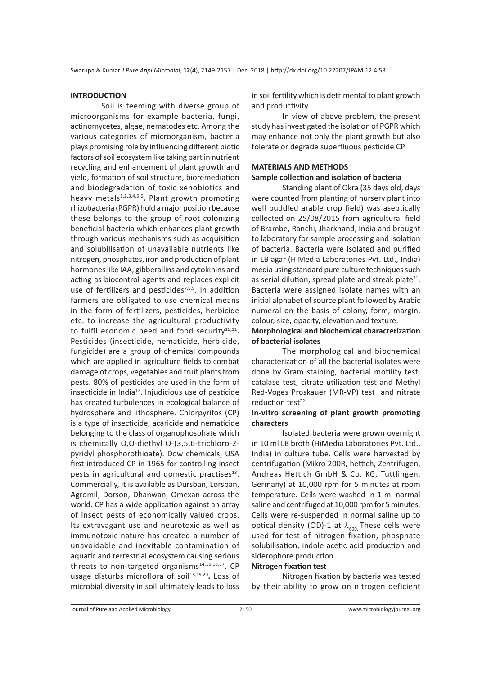#### **INTRODUCTION**

Soil is teeming with diverse group of microorganisms for example bacteria, fungi, actinomycetes, algae, nematodes etc. Among the various categories of microorganism, bacteria plays promising role by influencing different biotic factors of soil ecosystem like taking part in nutrient recycling and enhancement of plant growth and yield, formation of soil structure, bioremediation and biodegradation of toxic xenobiotics and heavy metals<sup>1,2,3,4,5,6</sup>. Plant growth promoting rhizobacteria (PGPR) hold a major position because these belongs to the group of root colonizing beneficial bacteria which enhances plant growth through various mechanisms such as acquisition and solubilisation of unavailable nutrients like nitrogen, phosphates, iron and production of plant hormones like IAA, gibberallins and cytokinins and acting as biocontrol agents and replaces explicit use of fertilizers and pesticides<sup>7,8,9</sup>. In addition farmers are obligated to use chemical means in the form of fertilizers, pesticides, herbicide etc. to increase the agricultural productivity to fulfil economic need and food security<sup>10,11</sup>. Pesticides (insecticide, nematicide, herbicide, fungicide) are a group of chemical compounds which are applied in agriculture fields to combat damage of crops, vegetables and fruit plants from pests. 80% of pesticides are used in the form of insecticide in India<sup>12</sup>. Injudicious use of pesticide has created turbulences in ecological balance of hydrosphere and lithosphere. Chlorpyrifos (CP) is a type of insecticide, acaricide and nematicide belonging to the class of organophosphate which is chemically O,O-diethyl O-(3,5,6-trichloro-2 pyridyl phosphorothioate). Dow chemicals, USA first introduced CP in 1965 for controlling insect pests in agricultural and domestic practises $^{13}$ . Commercially, it is available as Dursban, Lorsban, Agromil, Dorson, Dhanwan, Omexan across the world. CP has a wide application against an array of insect pests of economically valued crops. Its extravagant use and neurotoxic as well as immunotoxic nature has created a number of unavoidable and inevitable contamination of aquatic and terrestrial ecosystem causing serious threats to non-targeted organisms<sup>14,15,16,17</sup>. CP usage disturbs microflora of soil<sup>18,19,20</sup>. Loss of microbial diversity in soil ultimately leads to loss in soil fertility which is detrimental to plant growth and productivity.

In view of above problem, the present study has investigated the isolation of PGPR which may enhance not only the plant growth but also tolerate or degrade superfluous pesticide CP.

#### **MATERIALS AND METHODS Sample collection and isolation of bacteria**

Standing plant of Okra (35 days old, days were counted from planting of nursery plant into well puddled arable crop field) was aseptically collected on 25/08/2015 from agricultural field of Brambe, Ranchi, Jharkhand, India and brought to laboratory for sample processing and isolation of bacteria. Bacteria were isolated and purified in LB agar (HiMedia Laboratories Pvt. Ltd., India) media using standard pure culture techniques such as serial dilution, spread plate and streak plate $^{21}$ . Bacteria were assigned isolate names with an initial alphabet of source plant followed by Arabic numeral on the basis of colony, form, margin, colour, size, opacity, elevation and texture.

#### **Morphological and biochemical characterization of bacterial isolates**

The morphological and biochemical characterization of all the bacterial isolates were done by Gram staining, bacterial motility test, catalase test, citrate utilization test and Methyl Red-Voges Proskauer (MR-VP) test and nitrate reduction test<sup>22</sup>.

#### **In-vitro screening of plant growth promoting characters**

Isolated bacteria were grown overnight in 10 ml LB broth (HiMedia Laboratories Pvt. Ltd., India) in culture tube. Cells were harvested by centrifugation (Mikro 200R, hettich, Zentrifugen, Andreas Hettich GmbH & Co. KG, Tuttlingen, Germany) at 10,000 rpm for 5 minutes at room temperature. Cells were washed in 1 ml normal saline and centrifuged at 10,000 rpm for 5 minutes. Cells were re-suspended in normal saline up to optical density (OD)-1 at  $\lambda_{600}$  These cells were used for test of nitrogen fixation, phosphate solubilisation, indole acetic acid production and siderophore production.

#### **Nitrogen fixation test**

Nitrogen fixation by bacteria was tested by their ability to grow on nitrogen deficient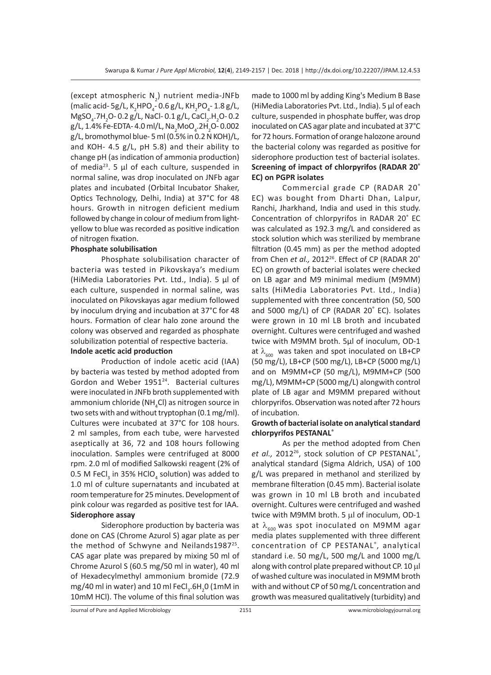(except atmospheric  $N_2$ ) nutrient media-JNFb (malic acid- 5g/L, K<sub>2</sub>HPO<sub>4</sub>-0.6 g/L, KH<sub>2</sub>PO<sub>4</sub>-1.8 g/L,  $M$ gSO<sub>4</sub>.7H<sub>2</sub>O-0.2 g/L, NaCl-0.1 g/L, CaCl<sub>2</sub>.H<sub>2</sub>O-0.2 g/L, 1.4% Fe-EDTA- 4.0 ml/L, Na<sub>2</sub>MoO<sub>4</sub>.2H<sub>2</sub>O- 0.002 g/L, bromothymol blue- 5 ml (0.5% in 0.2 N KOH)/L, and KOH- 4.5 g/L, pH 5.8) and their ability to change pH (as indication of ammonia production) of media<sup>23</sup>. 5  $\mu$ l of each culture, suspended in normal saline, was drop inoculated on JNFb agar plates and incubated (Orbital Incubator Shaker, Optics Technology, Delhi, India) at 37°C for 48 hours. Growth in nitrogen deficient medium followed by change in colour of medium from lightyellow to blue was recorded as positive indication of nitrogen fixation.

#### **Phosphate solubilisation**

Phosphate solubilisation character of bacteria was tested in Pikovskaya's medium (HiMedia Laboratories Pvt. Ltd., India). 5 µl of each culture, suspended in normal saline, was inoculated on Pikovskayas agar medium followed by inoculum drying and incubation at 37°C for 48 hours. Formation of clear halo zone around the colony was observed and regarded as phosphate solubilization potential of respective bacteria.

# **Indole acetic acid production**

Production of indole acetic acid (IAA) by bacteria was tested by method adopted from Gordon and Weber 1951<sup>24</sup>. Bacterial cultures were inoculated in JNFb broth supplemented with ammonium chloride (NH<sub>4</sub>Cl) as nitrogen source in two sets with and without tryptophan (0.1 mg/ml). Cultures were incubated at 37°C for 108 hours. 2 ml samples, from each tube, were harvested aseptically at 36, 72 and 108 hours following inoculation. Samples were centrifuged at 8000 rpm. 2.0 ml of modified Salkowski reagent (2% of 0.5 M FeCl<sub>3</sub> in 35% HClO<sub>4</sub> solution) was added to 1.0 ml of culture supernatants and incubated at room temperature for 25 minutes. Development of pink colour was regarded as positive test for IAA. **Siderophore assay**

Siderophore production by bacteria was done on CAS (Chrome Azurol S) agar plate as per the method of Schwyne and Neilands1987<sup>25</sup>. CAS agar plate was prepared by mixing 50 ml of Chrome Azurol S (60.5 mg/50 ml in water), 40 ml of Hexadecylmethyl ammonium bromide (72.9 mg/40 ml in water) and 10 ml FeCl<sub>3</sub>.6H<sub>2</sub>0 (1mM in 10mM HCl). The volume of this final solution was

made to 1000 ml by adding King's Medium B Base (HiMedia Laboratories Pvt. Ltd., India). 5 µl of each culture, suspended in phosphate buffer, was drop inoculated on CAS agar plate and incubated at 37°C for 72 hours. Formation of orange halozone around the bacterial colony was regarded as positive for siderophore production test of bacterial isolates. **Screening of impact of chlorpyrifos (RADAR 20® EC) on PGPR isolates**

Commercial grade CP (RADAR 20® EC) was bought from Dharti Dhan, Lalpur, Ranchi, Jharkhand, India and used in this study. Concentration of chlorpyrifos in RADAR 20® EC was calculated as 192.3 mg/L and considered as stock solution which was sterilized by membrane filtration (0.45 mm) as per the method adopted from Chen et al., 2012<sup>26</sup>. Effect of CP (RADAR 20<sup>®</sup> EC) on growth of bacterial isolates were checked on LB agar and M9 minimal medium (M9MM) salts (HiMedia Laboratories Pvt. Ltd., India) supplemented with three concentration (50, 500 and 5000 mg/L) of CP (RADAR 20® EC). Isolates were grown in 10 ml LB broth and incubated overnight. Cultures were centrifuged and washed twice with M9MM broth. 5µl of inoculum, OD-1 at  $\lambda_{600}$  was taken and spot inoculated on LB+CP (50 mg/L), LB+CP (500 mg/L), LB+CP (5000 mg/L) and on M9MM+CP (50 mg/L), M9MM+CP (500 mg/L), M9MM+CP (5000 mg/L) alongwith control plate of LB agar and M9MM prepared without chlorpyrifos. Observation was noted after 72 hours of incubation.

#### **Growth of bacterial isolate on analytical standard chlorpyrifos PESTANAL®**

As per the method adopted from Chen et al., 2012<sup>26</sup>, stock solution of CP PESTANAL<sup>®</sup>, analytical standard (Sigma Aldrich, USA) of 100 g/L was prepared in methanol and sterilized by membrane filteration (0.45 mm). Bacterial isolate was grown in 10 ml LB broth and incubated overnight. Cultures were centrifuged and washed twice with M9MM broth. 5 µl of inoculum, OD-1 at  $\lambda_{\epsilon 00}$  was spot inoculated on M9MM agar media plates supplemented with three different concentration of CP PESTANAL® , analytical standard i.e. 50 mg/L, 500 mg/L and 1000 mg/L along with control plate prepared without CP. 10 µl of washed culture was inoculated in M9MM broth with and without CP of 50 mg/L concentration and growth was measured qualitatively (turbidity) and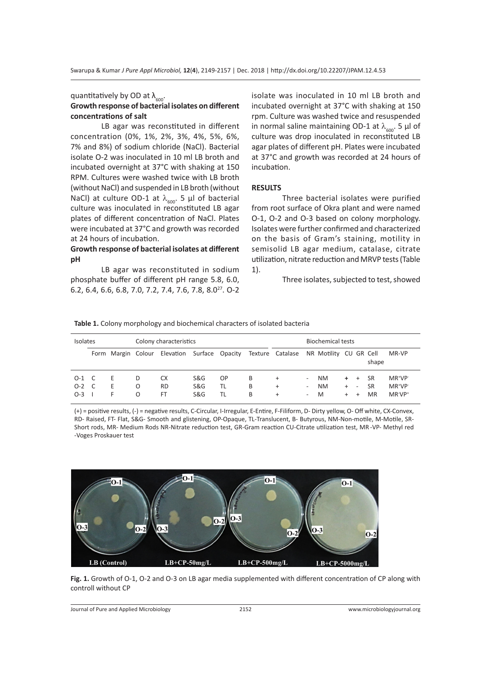quantitatively by OD at  $\lambda_{600}$ .

#### **Growth response of bacterial isolates on different concentrations of salt**

LB agar was reconstituted in different concentration (0%, 1%, 2%, 3%, 4%, 5%, 6%, 7% and 8%) of sodium chloride (NaCl). Bacterial isolate O-2 was inoculated in 10 ml LB broth and incubated overnight at 37°C with shaking at 150 RPM. Cultures were washed twice with LB broth (without NaCl) and suspended in LB broth (without NaCl) at culture OD-1 at  $\lambda_{\text{600}}$ . 5 µl of bacterial culture was inoculated in reconstituted LB agar plates of different concentration of NaCl. Plates were incubated at 37°C and growth was recorded at 24 hours of incubation.

### **Growth response of bacterial isolates at different pH**

LB agar was reconstituted in sodium phosphate buffer of different pH range 5.8, 6.0, 6.2, 6.4, 6.6, 6.8, 7.0, 7.2, 7.4, 7.6, 7.8, 8.027. O-2 isolate was inoculated in 10 ml LB broth and incubated overnight at 37°C with shaking at 150 rpm. Culture was washed twice and resuspended in normal saline maintaining OD-1 at  $\lambda_{600}$ . 5 µl of culture was drop inoculated in reconstituted LB agar plates of different pH. Plates were incubated at 37°C and growth was recorded at 24 hours of incubation.

## **RESULTS**

Three bacterial isolates were purified from root surface of Okra plant and were named O-1, O-2 and O-3 based on colony morphology. Isolates were further confirmed and characterized on the basis of Gram's staining, motility in semisolid LB agar medium, catalase, citrate utilization, nitrate reduction and MRVP tests (Table 1).

Three isolates, subjected to test, showed

#### **Table 1.** Colony morphology and biochemical characters of isolated bacteria

| Isolates                    |  |                    | Colony characteristics |                       |                              |                 |             | <b>Biochemical tests</b>             |                            |                             |                   |                                              |                                     |                                                             |
|-----------------------------|--|--------------------|------------------------|-----------------------|------------------------------|-----------------|-------------|--------------------------------------|----------------------------|-----------------------------|-------------------|----------------------------------------------|-------------------------------------|-------------------------------------------------------------|
|                             |  | Form Margin Colour |                        | Elevation             |                              |                 |             | Surface Opacity Texture Catalase     |                            | NR Motility CU GR Cell      |                   |                                              | shape                               | MR-VP                                                       |
| $O-1$ C<br>$O-2$ C<br>$O-3$ |  | Е<br>E<br>F.       | D<br>O<br>O            | СX<br><b>RD</b><br>FT | S&G<br><b>S&amp;G</b><br>S&G | OP.<br>TL<br>TL | B<br>B<br>B | $\ddot{}$<br>$\ddot{}$<br>$\hbox{ }$ | $\sim$<br>$\sim$<br>$\sim$ | <b>NM</b><br><b>NM</b><br>M | $+$<br>$+$<br>$+$ | $+$<br>$\overline{\phantom{a}}$<br>$\ddot{}$ | <b>SR</b><br><b>SR</b><br><b>MR</b> | MR <sup>+</sup> VP <sup>-</sup><br>$MR^+VP^-$<br>$MR^+VP^+$ |

(+) = positive results, (-) = negative results, C-Circular, I-Irregular, E-Entire, F-Filiform, D- Dirty yellow, O- Off white, CX-Convex, RD- Raised, FT- Flat, S&G- Smooth and glistening, OP-Opaque, TL-Translucent, B- Butyrous, NM-Non-motile, M-Motile, SR-Short rods, MR- Medium Rods NR-Nitrate reduction test, GR-Gram reaction CU-Citrate utilization test, MR -VP- Methyl red -Voges Proskauer test



**Fig. 1.** Growth of O-1, O-2 and O-3 on LB agar media supplemented with different concentration of CP along with controll without CP

Journal of Pure and Applied Microbiology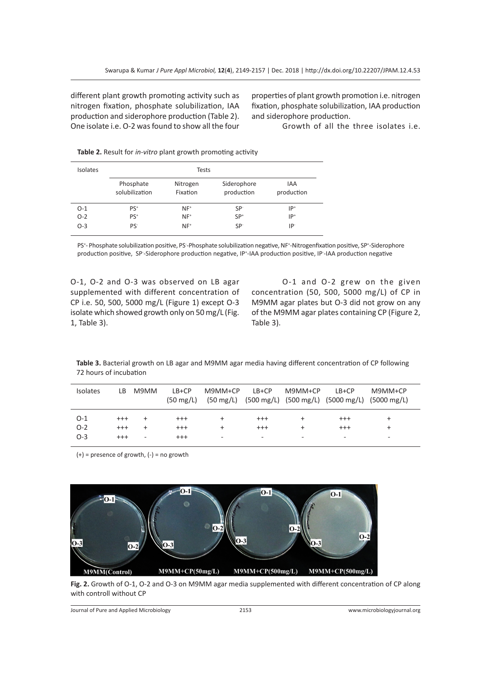different plant growth promoting activity such as nitrogen fixation, phosphate solubilization, IAA production and siderophore production (Table 2). One isolate i.e. O-2 was found to show all the four properties of plant growth promotion i.e. nitrogen fixation, phosphate solubilization, IAA production and siderophore production.

Growth of all the three isolates i.e.

| Isolates |                             | Tests                |                           |                   |
|----------|-----------------------------|----------------------|---------------------------|-------------------|
|          | Phosphate<br>solubilization | Nitrogen<br>Fixation | Siderophore<br>production | IAA<br>production |
| $O-1$    | $PS+$                       | $NF^+$               | SP <sup>-</sup>           | $IP+$             |
| $O-2$    | PS <sup>+</sup>             | $NF^*$               | $SP+$                     | $IP+$             |
| $O-3$    | PS <sup>-</sup>             | $NF^*$               | SP <sup>-</sup>           | IP-               |

**Table 2.** Result for *in-vitro* plant growth promoting activity

PS<sup>+</sup>- Phosphate solubilization positive, PS-Phosphate solubilization negative, NF<sup>+</sup>-Nitrogenfixation positive, SP<sup>+</sup>-Siderophore production positive, SP-Siderophore production negative, IP<sup>+</sup>-IAA production positive, IP-IAA production negative

O-1, O-2 and O-3 was observed on LB agar supplemented with different concentration of CP i.e. 50, 500, 5000 mg/L (Figure 1) except O-3 isolate which showed growth only on 50 mg/L (Fig. 1, Table 3).

O-1 and O-2 grew on the given concentration (50, 500, 5000 mg/L) of CP in M9MM agar plates but O-3 did not grow on any of the M9MM agar plates containing CP (Figure 2, Table 3).

**Table 3.** Bacterial growth on LB agar and M9MM agar media having different concentration of CP following 72 hours of incubation

| Isolates | LB.      | M9MM | $LB+CP$<br>$(50 \text{ mg/L})$ | M9MM+CP   | $LB+CP$  | M9MM+CP | $LB+CP$<br>(50 mg/L) (500 mg/L) (500 mg/L) (5000 mg/L) (5000 mg/L) | $M9MM+CP$ |  |
|----------|----------|------|--------------------------------|-----------|----------|---------|--------------------------------------------------------------------|-----------|--|
| $O-1$    | $^{+++}$ |      | $^{+++}$                       | ÷         | $^{+++}$ |         | $^{+++}$                                                           | $\ddot{}$ |  |
| $O-2$    | $^{+++}$ |      | $^{+++}$                       | $\ddot{}$ | $^{+++}$ | ÷.      | $^{++}$                                                            | $\ddot{}$ |  |
| $O-3$    | $^{+++}$ | ۰    | $^{+++}$                       | ٠         | ۰        | ۰       | ۰                                                                  | -         |  |

(+) = presence of growth, (-) = no growth



**Fig. 2.** Growth of O-1, O-2 and O-3 on M9MM agar media supplemented with different concentration of CP along with controll without CP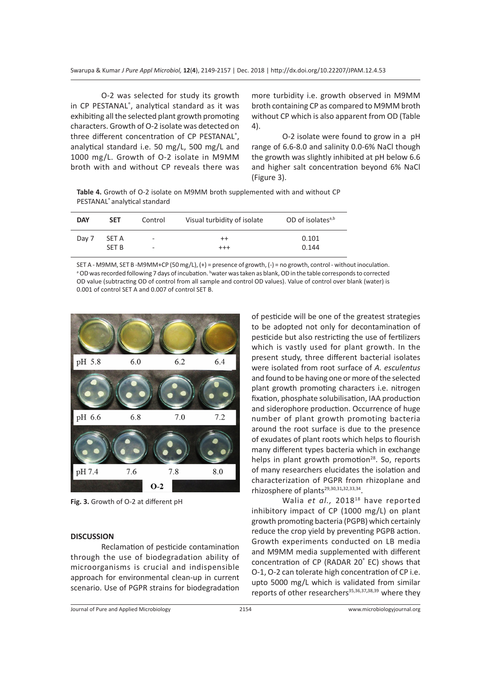O-2 was selected for study its growth in CP PESTANAL® , analytical standard as it was exhibiting all the selected plant growth promoting characters. Growth of O-2 isolate was detected on three different concentration of CP PESTANAL® , analytical standard i.e. 50 mg/L, 500 mg/L and 1000 mg/L. Growth of O-2 isolate in M9MM broth with and without CP reveals there was

more turbidity i.e. growth observed in M9MM broth containing CP as compared to M9MM broth without CP which is also apparent from OD (Table 4).

O-2 isolate were found to grow in a pH range of 6.6-8.0 and salinity 0.0-6% NaCl though the growth was slightly inhibited at pH below 6.6 and higher salt concentration beyond 6% NaCl (Figure 3).

**Table 4.** Growth of O-2 isolate on M9MM broth supplemented with and without CP PESTANAL® analytical standard

| <b>DAY</b> | <b>SET</b> | Control                  | Visual turbidity of isolate | OD of isolates $a,b$ |
|------------|------------|--------------------------|-----------------------------|----------------------|
| Day 7      | SET A      | $\overline{\phantom{a}}$ | $^{++}$                     | 0.101                |
|            | SFT B      | $\overline{\phantom{a}}$ | $^{+++}$                    | 0.144                |

SET A - M9MM, SET B -M9MM+CP (50 mg/L), (+) = presence of growth, (-) = no growth, control - without inoculation. <sup>a</sup> OD was recorded following 7 days of incubation. <sup>b</sup>water was taken as blank, OD in the table corresponds to corrected OD value (subtracting OD of control from all sample and control OD values). Value of control over blank (water) is 0.001 of control SET A and 0.007 of control SET B.



**Fig. 3.** Growth of O-2 at different pH

# **DISCUSSION**

Reclamation of pesticide contamination through the use of biodegradation ability of microorganisms is crucial and indispensible approach for environmental clean-up in current scenario. Use of PGPR strains for biodegradation of pesticide will be one of the greatest strategies to be adopted not only for decontamination of pesticide but also restricting the use of fertilizers which is vastly used for plant growth. In the present study, three different bacterial isolates were isolated from root surface of *A. esculentus* and found to be having one or more of the selected plant growth promoting characters i.e. nitrogen fixation, phosphate solubilisation, IAA production and siderophore production. Occurrence of huge number of plant growth promoting bacteria around the root surface is due to the presence of exudates of plant roots which helps to flourish many different types bacteria which in exchange helps in plant growth promotion<sup>28</sup>. So, reports of many researchers elucidates the isolation and characterization of PGPR from rhizoplane and rhizosphere of plants<sup>29,30,31,32,33,34</sup>.

Walia et al., 2018<sup>18</sup> have reported inhibitory impact of CP (1000 mg/L) on plant growth promoting bacteria (PGPB) which certainly reduce the crop yield by preventing PGPB action. Growth experiments conducted on LB media and M9MM media supplemented with different concentration of CP (RADAR 20® EC) shows that O-1, O-2 can tolerate high concentration of CP i.e. upto 5000 mg/L which is validated from similar reports of other researchers<sup>35,36,37,38,39</sup> where they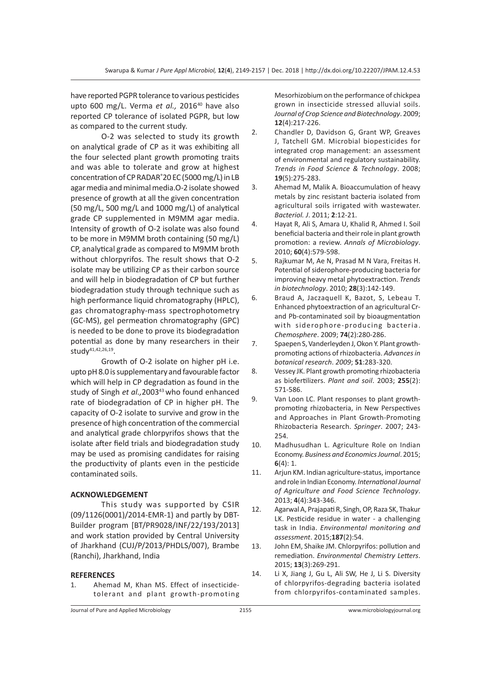have reported PGPR tolerance to various pesticides upto 600 mg/L. Verma et al., 2016<sup>40</sup> have also reported CP tolerance of isolated PGPR, but low as compared to the current study.

O-2 was selected to study its growth on analytical grade of CP as it was exhibiting all the four selected plant growth promoting traits and was able to tolerate and grow at highest concentration of CP RADAR® 20 EC (5000 mg/L) in LB agar media and minimal media.O-2 isolate showed presence of growth at all the given concentration (50 mg/L, 500 mg/L and 1000 mg/L) of analytical grade CP supplemented in M9MM agar media. Intensity of growth of O-2 isolate was also found to be more in M9MM broth containing (50 mg/L) CP, analytical grade as compared to M9MM broth without chlorpyrifos. The result shows that O-2 isolate may be utilizing CP as their carbon source and will help in biodegradation of CP but further biodegradation study through technique such as high performance liquid chromatography (HPLC), gas chromatography-mass spectrophotometry (GC-MS), gel permeation chromatography (GPC) is needed to be done to prove its biodegradation potential as done by many researchers in their studv<sup>41,42,26,19</sup>.

Growth of O-2 isolate on higher pH i.e. upto pH 8.0 is supplementary and favourable factor which will help in CP degradation as found in the study of Singh et al., 2003<sup>43</sup> who found enhanced rate of biodegradation of CP in higher pH. The capacity of O-2 isolate to survive and grow in the presence of high concentration of the commercial and analytical grade chlorpyrifos shows that the isolate after field trials and biodegradation study may be used as promising candidates for raising the productivity of plants even in the pesticide contaminated soils.

#### **ACKNOWLEDGEMENT**

This study was supported by CSIR (09/1126(0001)/2014-EMR-1) and partly by DBT-Builder program [BT/PR9028/INF/22/193/2013] and work station provided by Central University of Jharkhand (CUJ/P/2013/PHDLS/007), Brambe (Ranchi), Jharkhand, India

#### **REFERENCES**

1. Ahemad M, Khan MS. Effect of insecticidetolerant and plant growth-promoting Mesorhizobium on the performance of chickpea grown in insecticide stressed alluvial soils. *Journal of Crop Science and Biotechnology*. 2009; **12**(4):217-226.

- 2. Chandler D, Davidson G, Grant WP, Greaves J, Tatchell GM. Microbial biopesticides for integrated crop management: an assessment of environmental and regulatory sustainability. *Trends in Food Science & Technology*. 2008; **19**(5):275-283.
- 3. Ahemad M, Malik A. Bioaccumulation of heavy metals by zinc resistant bacteria isolated from agricultural soils irrigated with wastewater. *Bacteriol. J*. 2011; **2**:12-21.
- 4. Hayat R, Ali S, Amara U, Khalid R, Ahmed I. Soil beneficial bacteria and their role in plant growth promotion: a review. *Annals of Microbiology*. 2010; **60**(4):579-598.
- 5. Rajkumar M, Ae N, Prasad M N Vara, Freitas H. Potential of siderophore-producing bacteria for improving heavy metal phytoextraction. *Trends in biotechnology*. 2010; **28**(3):142-149.
- 6. Braud A, Jaczaquell K, Bazot, S, Lebeau T. Enhanced phytoextraction of an agricultural Crand Pb-contaminated soil by bioaugmentation with siderophore-producing bacteria. *Chemosphere*. 2009; **74**(2):280-286.
- 7. Spaepen S, Vanderleyden J, Okon Y. Plant growthpromoting actions of rhizobacteria. *Advances in botanical research*. *2009*; **51**:283-320.
- 8. Vessey JK. Plant growth promoting rhizobacteria as biofertilizers. *Plant and soil*. 2003; **255**(2): 571-586.
- 9. Van Loon LC. Plant responses to plant growthpromoting rhizobacteria, in New Perspectives and Approaches in Plant Growth-Promoting Rhizobacteria Research. *Springer*. 2007; 243- 254.
- 10. Madhusudhan L. Agriculture Role on Indian Economy. *Business and Economics Journal*. 2015; **6**(4): 1.
- 11. Arjun KM. Indian agriculture-status, importance and role in Indian Economy. *International Journal of Agriculture and Food Science Technology*. 2013; **4**(4):343-346.
- 12. Agarwal A, Prajapati R, Singh, OP, Raza SK, Thakur LK. Pesticide residue in water - a challenging task in India. *Environmental monitoring and assessment*. 2015;**187**(2):54.
- 13. John EM, Shaike JM. Chlorpyrifos: pollution and remediation. *Environmental Chemistry Letters*. 2015; **13**(3):269-291.
- 14. Li X, Jiang J, Gu L, Ali SW, He J, Li S. Diversity of chlorpyrifos-degrading bacteria isolated from chlorpyrifos-contaminated samples.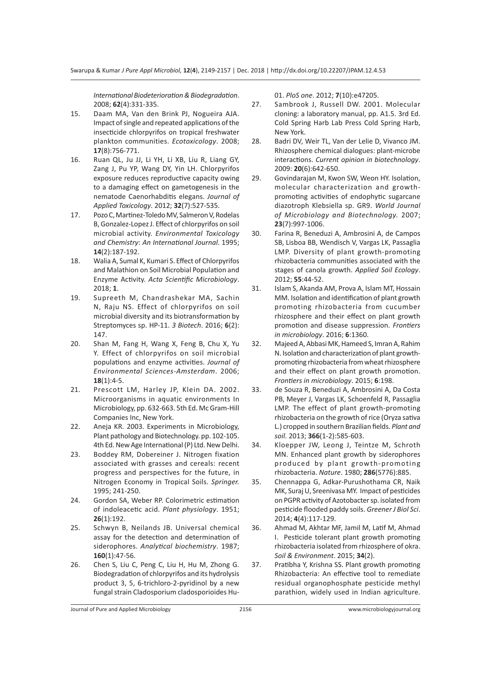*International Biodeterioration & Biodegradation*. 2008; **62**(4):331-335.

- 15. Daam MA, Van den Brink PJ, Nogueira AJA. Impact of single and repeated applications of the insecticide chlorpyrifos on tropical freshwater plankton communities. *Ecotoxicology*. 2008; **17**(8):756-771.
- 16. Ruan QL, Ju JJ, Li YH, Li XB, Liu R, Liang GY, Zang J, Pu YP, Wang DY, Yin LH. Chlorpyrifos exposure reduces reproductive capacity owing to a damaging effect on gametogenesis in the nematode Caenorhabditis elegans. *Journal of Applied Toxicology*. 2012; **32**(7):527-535.
- 17. Pozo C, Martinez-Toledo MV, Salmeron V, Rodelas B, Gonzalez-Lopez J. Effect of chlorpyrifos on soil microbial activity. *Environmental Toxicology and Chemistry*: *An International Journal*. 1995; **14**(2):187-192.
- 18. Walia A, Sumal K, Kumari S. Effect of Chlorpyrifos and Malathion on Soil Microbial Population and Enzyme Activity. *Acta Scientific Microbiology*. 2018; **1**.
- 19. Supreeth M, Chandrashekar MA, Sachin N, Raju NS. Effect of chlorpyrifos on soil microbial diversity and its biotransformation by Streptomyces sp. HP-11. *3 Biotech*. 2016; **6**(2): 147.
- 20. Shan M, Fang H, Wang X, Feng B, Chu X, Yu Y. Effect of chlorpyrifos on soil microbial populations and enzyme activities. *Journal of Environmental Sciences-Amsterdam*. 2006; **18**(1):4-5.
- 21. Prescott LM, Harley JP, Klein DA. 2002. Microorganisms in aquatic environments In Microbiology, pp. 632-663. 5th Ed. Mc Gram-Hill Companies Inc, New York.
- 22. Aneja KR. 2003. Experiments in Microbiology, Plant pathology and Biotechnology. pp. 102-105. 4th Ed. New Age International (P) Ltd. New Delhi.
- 23. Boddey RM, Dobereiner J. Nitrogen fixation associated with grasses and cereals: recent progress and perspectives for the future, in Nitrogen Economy in Tropical Soils. *Springer.* 1995; 241-250.
- 24. Gordon SA, Weber RP. Colorimetric estimation of indoleacetic acid. *Plant physiology*. 1951; **26**(1):192.
- 25. Schwyn B, Neilands JB. Universal chemical assay for the detection and determination of siderophores. *Analytical biochemistry*. 1987; **160**(1):47-56.
- 26. Chen S, Liu C, Peng C, Liu H, Hu M, Zhong G. Biodegradation of chlorpyrifos and its hydrolysis product 3, 5, 6-trichloro-2-pyridinol by a new fungal strain Cladosporium cladosporioides Hu-

01. *PloS one*. 2012; **7**(10):e47205.

- 27. Sambrook J, Russell DW. 2001. Molecular cloning: a laboratory manual, pp. A1.5. 3rd Ed. Cold Spring Harb Lab Press Cold Spring Harb, New York.
- 28. Badri DV, Weir TL, Van der Lelie D, Vivanco JM. Rhizosphere chemical dialogues: plant-microbe interactions. *Current opinion in biotechnology*. 2009: **20**(6):642-650.
- 29. Govindarajan M, Kwon SW, Weon HY. Isolation, molecular characterization and growthpromoting activities of endophytic sugarcane diazotroph Klebsiella sp. GR9. *World Journal of Microbiology and Biotechnology.* 2007; **23**(7):997-1006.
- 30. Farina R, Beneduzi A, Ambrosini A, de Campos SB, Lisboa BB, Wendisch V, Vargas LK, Passaglia LMP. Diversity of plant growth-promoting rhizobacteria communities associated with the stages of canola growth. *Applied Soil Ecology*. 2012; **55**:44-52.
- 31. Islam S, Akanda AM, Prova A, Islam MT, Hossain MM. Isolation and identification of plant growth promoting rhizobacteria from cucumber rhizosphere and their effect on plant growth promotion and disease suppression. *Frontiers in microbiology*. 2016; **6**:1360.
- 32. Majeed A, Abbasi MK, Hameed S, Imran A, Rahim N. Isolation and characterization of plant growthpromoting rhizobacteria from wheat rhizosphere and their effect on plant growth promotion. *Frontiers in microbiology*. 2015; **6**:198.
- 33. de Souza R, Beneduzi A, Ambrosini A, Da Costa PB, Meyer J, Vargas LK, Schoenfeld R, Passaglia LMP. The effect of plant growth-promoting rhizobacteria on the growth of rice (Oryza sativa L.) cropped in southern Brazilian fields. *Plant and soil*. 2013; **366**(1-2):585-603.
- 34. Kloepper JW, Leong J, Teintze M, Schroth MN. Enhanced plant growth by siderophores produced by plant growth-promoting rhizobacteria. *Nature*. 1980; **286**(5776):885.
- 35. Chennappa G, Adkar-Purushothama CR, Naik MK, Suraj U, Sreenivasa MY. Impact of pesticides on PGPR activity of Azotobacter sp. isolated from pesticide flooded paddy soils. *Greener J Biol Sci*. 2014; **4**(4):117-129.
- 36. Ahmad M, Akhtar MF, Jamil M, Latif M, Ahmad I. Pesticide tolerant plant growth promoting rhizobacteria isolated from rhizosphere of okra. *Soil & Environment*. 2015; **34**(2).
- 37. Pratibha Y, Krishna SS. Plant growth promoting Rhizobacteria: An effective tool to remediate residual organophosphate pesticide methyl parathion, widely used in Indian agriculture.